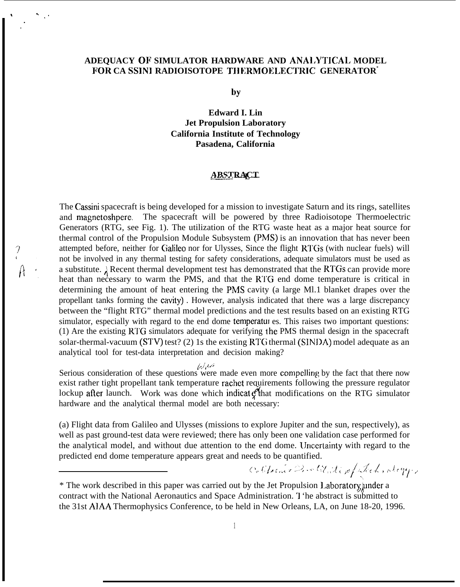### **ADEQUACY OF SIMULATOR HARDWARE AND ANAI,YTICAL MODEL FOR CA SSIN1 RADIOISOTOPE TII ERMOELECTRIC GENERATOR\***

."

by

**Edward I. Lin Jet Propulsion Laboratory California Institute of Technology Pasadena, California**

### **——. ABSTRACT —-L —**

The Cassini spacecraft is being developed for a mission to investigate Saturn and its rings, satellites and magnetoshpere. The spacecraft will be powered by three Radioisotope Thermoelectric Generators (RTG, see Fig. 1). The utilization of the RTG waste heat as a major heat source for thermal control of the Propulsion Module Subsystem (Ph4S) is an innovation that has never been attempted before, neither for Cialileo nor for Ulysses, Since the flight RIGs (with nuclear fuels) will not be involved in any thermal testing for safety considerations, adequate simulators must be used as a substitute.  $\Lambda$  Recent thermal development test has demonstrated that the RTGs can provide more heat than necessary to warm the PMS, and that the RTG end dome temperature is critical in determining the amount of heat entering the PhlS cavity (a large Ml.1 blanket drapes over the propellant tanks forming the cavity). However, analysis indicated that there was a large discrepancy between the "flight RTG" thermal model predictions and the test results based on an existing RTG simulator, especially with regard to the end dome temperatures. This raises two important questions: (1) Are the existing RTG simulators adequate for verifying <sup>I</sup> he PMS thermal design in the spacecraft solar-thermal-vacuum (STV) test? (2) 1s the existing RTG thermal (SINDA) model adequate as an analytical tool for test-data interpretation and decision making?

**J.J't** I /;

Serious consideration of these questions were made even more compelling by the fact that there now exist rather tight propellant tank temperature rachet requirements following the pressure regulator lockup after launch. Work was done which indicat  $g^2$  that modifications on the RTG simulator hardware and the analytical thermal model are both necessary:

(a) Flight data from Galileo and Ulysses (missions to explore Jupiter and the sun, respectively), as well as past ground-test data were reviewed; there has only been one validation case performed for the analytical model, and without due attention to the end dome. Uncertainty with regard to the predicted end dome temperature appears great and needs to be quantified. he end dome. Uncertainty with regard to the eds to be quantified.<br>Collection of the little of the decomposition of the set of the set of the set of the set of the set of the set of the set of the set of the set of the set

.,

<sup>\*</sup> The work described in this paper was carried out by the Jet Propulsion Laboratory, under a contract with the National Aeronautics and Space Administration. '1 'he abstract is submitted to the 31st AIAA Thermophysics Conference, to be held in New Orleans, LA, on June 18-20, 1996.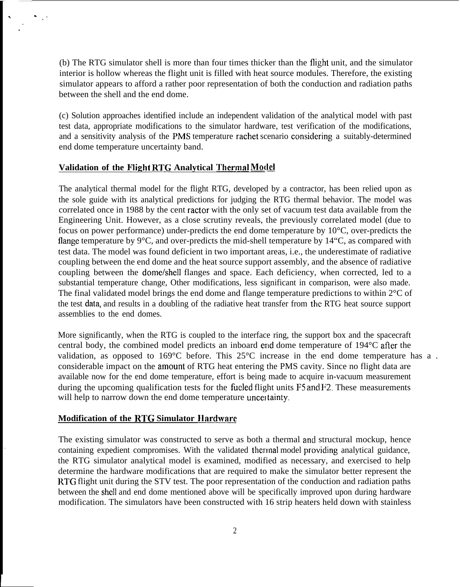(b) The RTG simulator shell is more than four times thicker than the flight unit, and the simulator interior is hollow whereas the flight unit is filled with heat source modules. Therefore, the existing simulator appears to afford a rather poor representation of both the conduction and radiation paths between the shell and the end dome.

(c) Solution approaches identified include an independent validation of the analytical model with past test data, appropriate modifications to the simulator hardware, test verification of the modifications, and a sensitivity analysis of the PMS temperature rachet scenario considering a suitably-determined end dome temperature uncertainty band.

### **Validation of the Flight &I'G Analytical Thecmal Mod@**

. .'

The analytical thermal model for the flight RTG, developed by a contractor, has been relied upon as the sole guide with its analytical predictions for judging the RTG thermal behavior. The model was correlated once in 1988 by the cent ractor with the only set of vacuum test data available from the Engineering Unit. However, as a close scrutiny reveals, the previously correlated model (due to focus on power performance) under-predicts the end dome temperature by 10°C, over-predicts the flange temperature by  $9^{\circ}C$ , and over-predicts the mid-shell temperature by 14 $^{\circ}C$ , as compared with test data. The model was found deficient in two important areas, i.e., the underestimate of radiative coupling between the end dome and the heat source support assembly, and the absence of radiative coupling between the dome/shell flanges and space. Each deficiency, when corrected, led to a substantial temperature change, Other modifications, less significant in comparison, were also made. The final validated model brings the end dome and flange temperature predictions to within 2°C of the test data, and results in a doubling of the radiative heat transfer from the RTG heat source support assemblies to the end domes.

More significantly, when the RTG is coupled to the interface ring, the support box and the spacecraft central body, the combined model predicts an inboard end dome temperature of 194°C afier the validation, as opposed to 169°C before. This 25°C increase in the end dome temperature has a. considerable impact on the amount of RTG heat entering the PMS cavity. Since no flight data are available now for the end dome temperature, effort is being made to acquire in-vacuum measurement during the upcoming qualification tests for the fueled flight units F5 and F2. These measurements will help to narrow down the end dome temperature uncertainty.

### **Modification of the RTG Simulator Hardware**

The existing simulator was constructed to serve as both a thermal and structural mockup, hence containing expedient compromises. With the validated thermal model providing analytical guidance, the RTG simulator analytical model is examined, modified as necessary, and exercised to help determine the hardware modifications that are required to make the simulator better represent the RTG flight unit during the STV test. The poor representation of the conduction and radiation paths between the shell and end dome mentioned above will be specifically improved upon during hardware modification. The simulators have been constructed with 16 strip heaters held down with stainless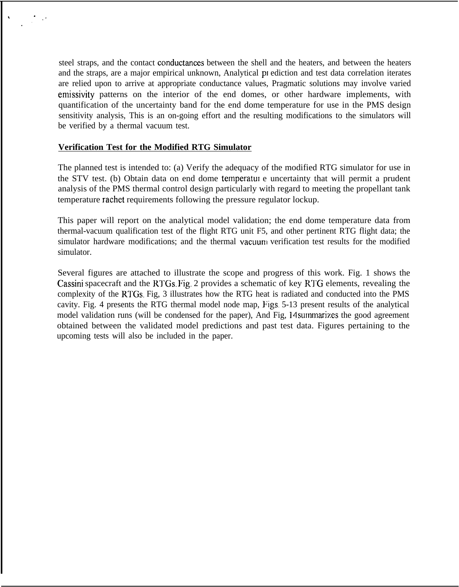steel straps, and the contact conductances between the shell and the heaters, and between the heaters and the straps, are a major empirical unknown, Analytical pr ediction and test data correlation iterates are relied upon to arrive at appropriate conductance values, Pragmatic solutions may involve varied emissivity patterns on the interior of the end domes, or other hardware implements, with quantification of the uncertainty band for the end dome temperature for use in the PMS design sensitivity analysis, This is an on-going effort and the resulting modifications to the simulators will be verified by a thermal vacuum test.

### **Verification Test for the Modified RTG Simulator**

The planned test is intended to: (a) Verify the adequacy of the modified RTG simulator for use in the STV test. (b) Obtain data on end dome temperatut e uncertainty that will permit a prudent analysis of the PMS thermal control design particularly with regard to meeting the propellant tank temperature rachet requirements following the pressure regulator lockup.

This paper will report on the analytical model validation; the end dome temperature data from thermal-vacuum qualification test of the flight RTG unit F5, and other pertinent RTG flight data; the simulator hardware modifications; and the thermal vacuum verification test results for the modified simulator.

Several figures are attached to illustrate the scope and progress of this work. Fig. 1 shows the Cassini spacecraft and the RTGs. Fig. 2 provides a schematic of key R1'G elements, revealing the complexity of the RTGs. Fig, 3 illustrates how the RTG heat is radiated and conducted into the PMS cavity. Fig. 4 presents the RTG thermal model node map, Figs,  $5-13$  present results of the analytical model validation runs (will be condensed for the paper), And Fig, 14 summarizes the good agreement obtained between the validated model predictions and past test data. Figures pertaining to the upcoming tests will also be included in the paper.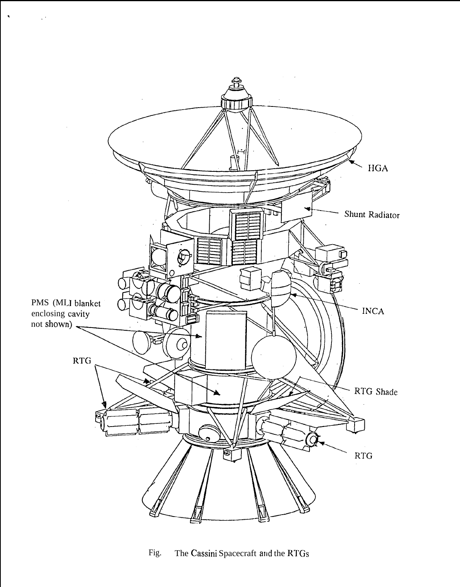

 $\bullet$ 

Fig. The Cassini Spacecraft and the RTGs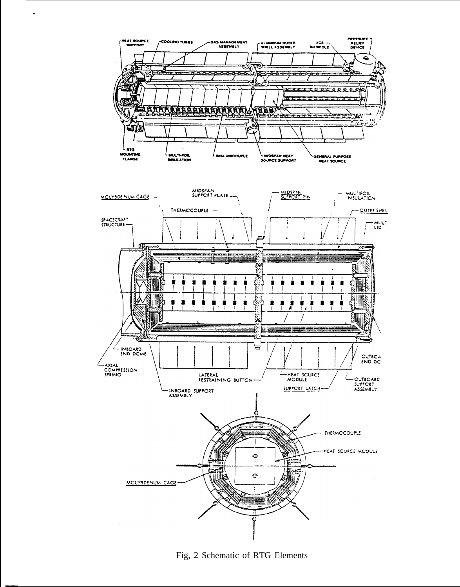

 $\cdot$ 

Fig, 2 Schematic of RTG Elements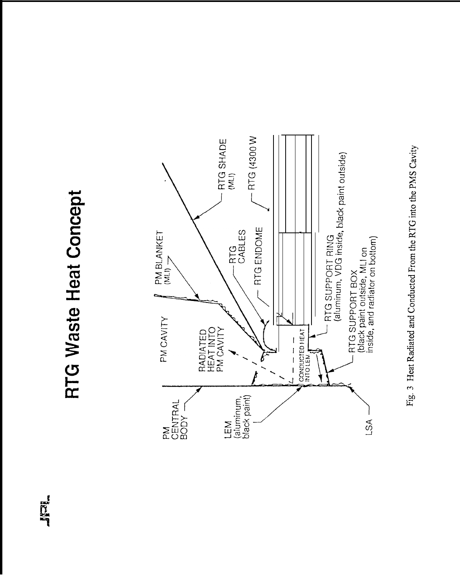# **Tacif**

# **RTG Waste Heat Concept**



Fig. 3 Heat Radiated and Conducted From the RTG into the PMS Cavity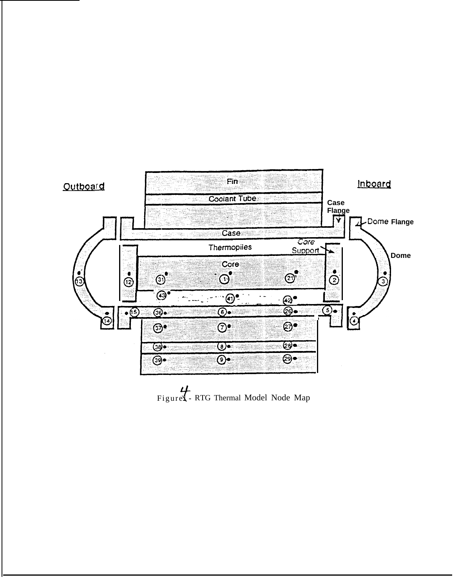

Figuret - RTG Thermal Model Node Map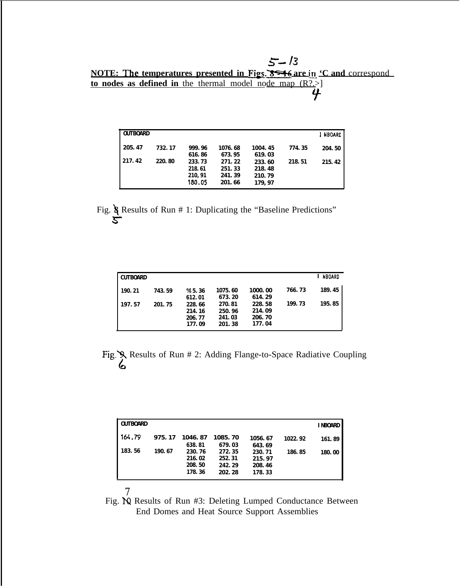*g-/3* **NOTE: The temperatures presented in Figs. 8546 are in 'C and correspond to nodes as defined in** the thermal model node map (R?.>]  $\overline{y}$ 

| <b>OUTBOARD</b> |         |                                      |                                      |                                      |        | I NBOARD |
|-----------------|---------|--------------------------------------|--------------------------------------|--------------------------------------|--------|----------|
| 205.47          | 732.17  | 999.96<br>616.86                     | 1076.68<br>673.95                    | 1004.45<br>619.03                    | 774.35 | 204.50   |
| 217.42          | 220, 80 | 233.73<br>218.61<br>210.91<br>180.05 | 271.22<br>251.33<br>241.39<br>201.66 | 233.60<br>218.48<br>210.79<br>179.97 | 218.51 | 215.42   |

Fig. & Results of Run # 1: Duplicating the "Baseline Predictions" s-

| CUTBOARD         |                  |                                           |                                       |                                       |                  | NBOARD           |
|------------------|------------------|-------------------------------------------|---------------------------------------|---------------------------------------|------------------|------------------|
| 190.21<br>197.57 | 743.59<br>201.75 | $\%$ ' 5.36<br>612.01<br>228.66<br>214.16 | 1075.60<br>673.20<br>270.81<br>250.96 | 1000.00<br>614.29<br>228.58<br>214.09 | 766.73<br>199.73 | 189.45<br>195.85 |
|                  |                  | 206.77<br>177.09                          | 241.03<br>201.38                      | 206.70<br>177.04                      |                  |                  |

Fig. S. Results of Run # 2: Adding Flange-to-Space Radiative Coupling 6

| <b>OUTBOARD</b> |        |                                      |                                      |                                      |         | <b>INBOARD</b> |
|-----------------|--------|--------------------------------------|--------------------------------------|--------------------------------------|---------|----------------|
| 164.79          | 975.17 | 1046.87<br>638.81                    | 1085.70<br>679.03                    | 1056.67<br>643.69                    | 1022.92 | 161.89         |
| 183.56          | 190.67 | 230.76<br>216.02<br>208.50<br>178.36 | 272.35<br>252.31<br>242.29<br>202.28 | 230.71<br>215.97<br>208.46<br>178.33 | 186.85  | 180.00         |

Fig. IQ Results of Run #3: Deleting Lumped Conductance Between End Domes and Heat Source Support Assemblies

*7*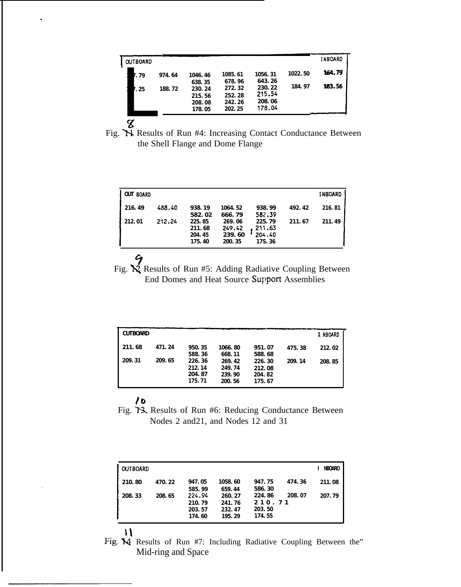| <b>OUTBOARD</b> |        |                                      |                                      |                                      |         | <b>INBOARD</b> |
|-----------------|--------|--------------------------------------|--------------------------------------|--------------------------------------|---------|----------------|
| 7.79            | 974.64 | 1046.46<br>638.35                    | 1085.61<br>678.96                    | 1056.31<br>643.26                    | 1022.50 | 164.79         |
| 7.25            | 188.72 | 230.24<br>215.56<br>208.08<br>178.05 | 272.32<br>252.28<br>242.26<br>202.25 | 230.22<br>215.54<br>208.06<br>178.04 | 184.97  | 183.56         |

Fig. X Results of Run #4: Increasing Contact Conductance Between the Shell Flange and Dome Flange

| OUT BOARD |        |                                      |                                      |                                       |        | <b>INBOARD</b> |
|-----------|--------|--------------------------------------|--------------------------------------|---------------------------------------|--------|----------------|
| 216.49    | 488.40 | 938.19<br>582.02                     | 1064.52<br>666.79                    | 938.99<br>582.39                      | 492.42 | 216.81         |
| 212.01    | 212.24 | 225.85<br>211.68<br>204.45<br>175.40 | 269.06<br>249.42<br>239.60<br>200.35 | 225.79<br>211.63<br>204.40<br>17S. 36 | 211.67 | 211.49         |

Fig.  $\bigotimes$  Results of Run #5: Adding Radiative Coupling Between End Domes and Heat Source Support Assemblies

| <b>CUTBOARD</b> |        |                                      |                                      |                                      |        | 1 NBOARD |
|-----------------|--------|--------------------------------------|--------------------------------------|--------------------------------------|--------|----------|
| 211.68          | 471.24 | 950.35<br>588.36                     | 1066.80<br>668.11                    | 951.07<br>588.68                     | 475.38 | 212.02   |
| 209.31          | 209.65 | 226.36<br>212.14<br>204.87<br>175.71 | 269.42<br>249.74<br>239.90<br>200.56 | 226.30<br>212.08<br>204.82<br>175.67 | 209.14 | 208.85   |

## $10$

Fig. 13. Results of Run #6: Reducing Conductance Between Nodes 2 and 21, and Nodes 12 and 31

| <b>OUTBOARD</b> |        |                                      |                                      |                                      |        | NBOARO |
|-----------------|--------|--------------------------------------|--------------------------------------|--------------------------------------|--------|--------|
| 210.80          | 470.22 | 947.05<br>585.99                     | 1058.60<br>659.44                    | 947.75<br>586.30                     | 474.36 | 211.08 |
| 208.33          | 208.65 | 224.94<br>210.79<br>203.57<br>174.60 | 260.27<br>241.76<br>232.47<br>195.29 | 224.86<br>210.71<br>203.50<br>174.55 | 208.07 | 207.79 |

Fig. M Results of Run #7: Including Radiative Coupling Between the" Mid-ring and Space

 $\mathcal{N}$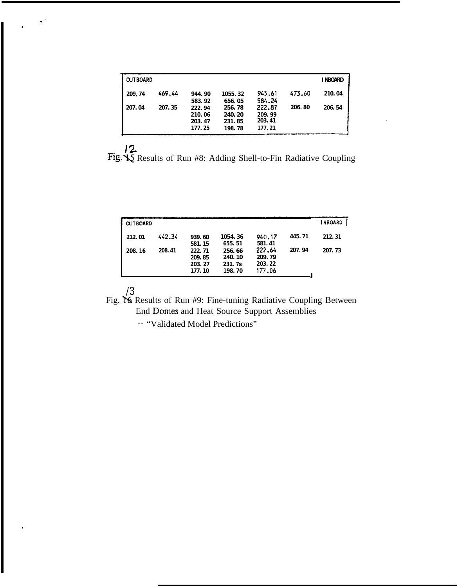| <b>OUTBOARD</b> |        |                                      |                                      |                                      |        | <b>I NBOARD</b> |
|-----------------|--------|--------------------------------------|--------------------------------------|--------------------------------------|--------|-----------------|
| 209, 74         | 469.44 | 944.90<br>583.92                     | 1055.32<br>656.05                    | 945.61<br>584.24                     | 473.60 | 210.04          |
| 207.04          | 207.35 | 222.94<br>210.06<br>203.47<br>177.25 | 256.78<br>240.20<br>231.85<br>198.78 | 222.87<br>209.99<br>203.41<br>177.21 | 206.80 | 206.54          |

 $\frac{12}{2}$ <br>Fig.  $\frac{12}{25}$  Results of Run #8: Adding Shell-to-Fin Radiative Coupling

| <b>OUTBOARD</b> |        |                                      |                                                  |                                      |        | <b>INBOARD</b> |
|-----------------|--------|--------------------------------------|--------------------------------------------------|--------------------------------------|--------|----------------|
| 212.01          | 442.34 | 939.60<br>581.15                     | 1054.36<br>655.51                                | 940.17<br>581.41                     | 445.71 | 212.31         |
| 208.16          | 208.41 | 222.71<br>209.85<br>203.27<br>177.10 | 256.66<br>240.10<br>231.7 <sub>S</sub><br>198.70 | 222.64<br>209.79<br>203.22<br>177.06 | 207.94 | 207.73         |

 $\mathcal{A}^{\mathcal{A}}$ 

/3<br>Fig. X Results of Run #9: Fine-tuning Radiative Coupling Between End Domes and Heat Source Support Assemblies

-- "Validated Model Predictions"